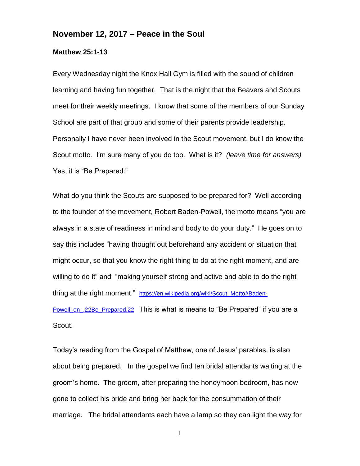## **November 12, 2017 – Peace in the Soul**

## **Matthew 25:1-13**

Every Wednesday night the Knox Hall Gym is filled with the sound of children learning and having fun together. That is the night that the Beavers and Scouts meet for their weekly meetings. I know that some of the members of our Sunday School are part of that group and some of their parents provide leadership. Personally I have never been involved in the Scout movement, but I do know the Scout motto. I'm sure many of you do too. What is it? *(leave time for answers)*  Yes, it is "Be Prepared."

What do you think the Scouts are supposed to be prepared for? Well according to the founder of the movement, Robert Baden-Powell, the motto means "you are always in a state of readiness in mind and body to do your duty." He goes on to say this includes "having thought out beforehand any accident or situation that might occur, so that you know the right thing to do at the right moment, and are willing to do it" and "making yourself strong and active and able to do the right thing at the right moment." [https://en.wikipedia.org/wiki/Scout\\_Motto#Baden-](https://en.wikipedia.org/wiki/Scout_Motto#Baden-Powell_on_.22Be_Prepared.22)[Powell\\_on\\_.22Be\\_Prepared.22](https://en.wikipedia.org/wiki/Scout_Motto#Baden-Powell_on_.22Be_Prepared.22) This is what is means to "Be Prepared" if you are a Scout.

Today's reading from the Gospel of Matthew, one of Jesus' parables, is also about being prepared. In the gospel we find ten bridal attendants waiting at the groom's home. The groom, after preparing the honeymoon bedroom, has now gone to collect his bride and bring her back for the consummation of their marriage. The bridal attendants each have a lamp so they can light the way for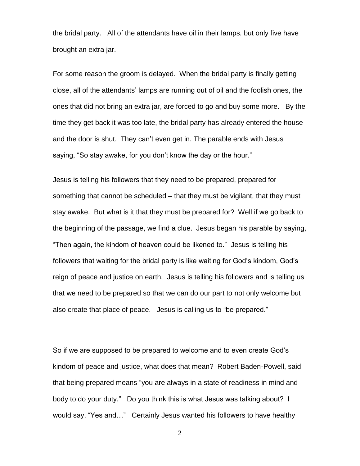the bridal party. All of the attendants have oil in their lamps, but only five have brought an extra jar.

For some reason the groom is delayed. When the bridal party is finally getting close, all of the attendants' lamps are running out of oil and the foolish ones, the ones that did not bring an extra jar, are forced to go and buy some more. By the time they get back it was too late, the bridal party has already entered the house and the door is shut. They can't even get in. The parable ends with Jesus saying, "So stay awake, for you don't know the day or the hour."

Jesus is telling his followers that they need to be prepared, prepared for something that cannot be scheduled – that they must be vigilant, that they must stay awake. But what is it that they must be prepared for? Well if we go back to the beginning of the passage, we find a clue. Jesus began his parable by saying, "Then again, the kindom of heaven could be likened to." Jesus is telling his followers that waiting for the bridal party is like waiting for God's kindom, God's reign of peace and justice on earth. Jesus is telling his followers and is telling us that we need to be prepared so that we can do our part to not only welcome but also create that place of peace. Jesus is calling us to "be prepared."

So if we are supposed to be prepared to welcome and to even create God's kindom of peace and justice, what does that mean? Robert Baden-Powell, said that being prepared means "you are always in a state of readiness in mind and body to do your duty." Do you think this is what Jesus was talking about? I would say, "Yes and…" Certainly Jesus wanted his followers to have healthy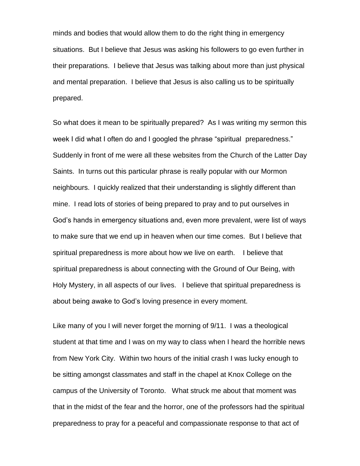minds and bodies that would allow them to do the right thing in emergency situations. But I believe that Jesus was asking his followers to go even further in their preparations. I believe that Jesus was talking about more than just physical and mental preparation. I believe that Jesus is also calling us to be spiritually prepared.

So what does it mean to be spiritually prepared? As I was writing my sermon this week I did what I often do and I googled the phrase "spiritual preparedness." Suddenly in front of me were all these websites from the Church of the Latter Day Saints. In turns out this particular phrase is really popular with our Mormon neighbours. I quickly realized that their understanding is slightly different than mine. I read lots of stories of being prepared to pray and to put ourselves in God's hands in emergency situations and, even more prevalent, were list of ways to make sure that we end up in heaven when our time comes. But I believe that spiritual preparedness is more about how we live on earth. I believe that spiritual preparedness is about connecting with the Ground of Our Being, with Holy Mystery, in all aspects of our lives. I believe that spiritual preparedness is about being awake to God's loving presence in every moment.

Like many of you I will never forget the morning of 9/11. I was a theological student at that time and I was on my way to class when I heard the horrible news from New York City. Within two hours of the initial crash I was lucky enough to be sitting amongst classmates and staff in the chapel at Knox College on the campus of the University of Toronto. What struck me about that moment was that in the midst of the fear and the horror, one of the professors had the spiritual preparedness to pray for a peaceful and compassionate response to that act of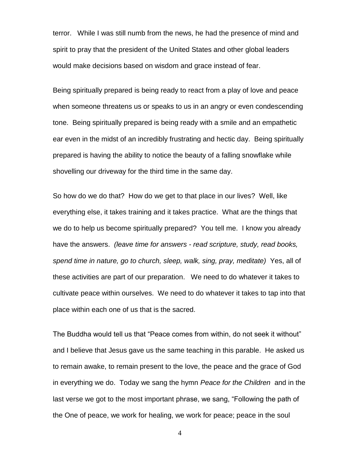terror. While I was still numb from the news, he had the presence of mind and spirit to pray that the president of the United States and other global leaders would make decisions based on wisdom and grace instead of fear.

Being spiritually prepared is being ready to react from a play of love and peace when someone threatens us or speaks to us in an angry or even condescending tone. Being spiritually prepared is being ready with a smile and an empathetic ear even in the midst of an incredibly frustrating and hectic day. Being spiritually prepared is having the ability to notice the beauty of a falling snowflake while shovelling our driveway for the third time in the same day.

So how do we do that? How do we get to that place in our lives? Well, like everything else, it takes training and it takes practice. What are the things that we do to help us become spiritually prepared? You tell me. I know you already have the answers. *(leave time for answers - read scripture, study, read books, spend time in nature, go to church, sleep, walk, sing, pray, meditate)* Yes, all of these activities are part of our preparation. We need to do whatever it takes to cultivate peace within ourselves. We need to do whatever it takes to tap into that place within each one of us that is the sacred.

The Buddha would tell us that "Peace comes from within, do not seek it without" and I believe that Jesus gave us the same teaching in this parable. He asked us to remain awake, to remain present to the love, the peace and the grace of God in everything we do. Today we sang the hymn *Peace for the Children* and in the last verse we got to the most important phrase, we sang, "Following the path of the One of peace, we work for healing, we work for peace; peace in the soul